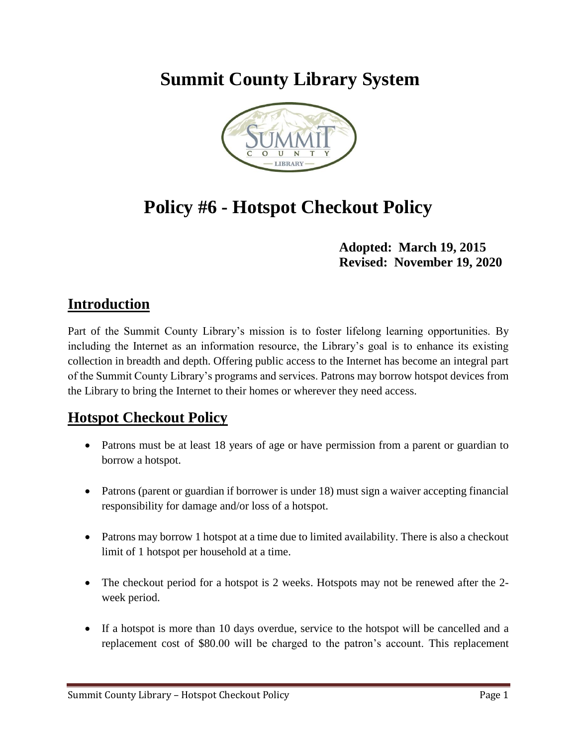## **Summit County Library System**



# **Policy #6 - Hotspot Checkout Policy**

#### **Adopted: March 19, 2015 Revised: November 19, 2020**

#### **Introduction**

Part of the Summit County Library's mission is to foster lifelong learning opportunities. By including the Internet as an information resource, the Library's goal is to enhance its existing collection in breadth and depth. Offering public access to the Internet has become an integral part of the Summit County Library's programs and services. Patrons may borrow hotspot devices from the Library to bring the Internet to their homes or wherever they need access.

### **Hotspot Checkout Policy**

- Patrons must be at least 18 years of age or have permission from a parent or guardian to borrow a hotspot.
- Patrons (parent or guardian if borrower is under 18) must sign a waiver accepting financial responsibility for damage and/or loss of a hotspot.
- Patrons may borrow 1 hotspot at a time due to limited availability. There is also a checkout limit of 1 hotspot per household at a time.
- The checkout period for a hotspot is 2 weeks. Hotspots may not be renewed after the 2week period.
- If a hotspot is more than 10 days overdue, service to the hotspot will be cancelled and a replacement cost of \$80.00 will be charged to the patron's account. This replacement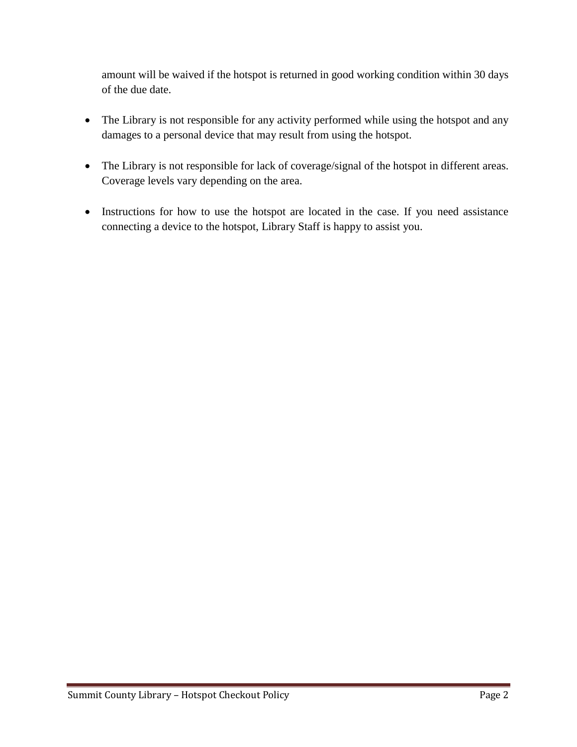amount will be waived if the hotspot is returned in good working condition within 30 days of the due date.

- The Library is not responsible for any activity performed while using the hotspot and any damages to a personal device that may result from using the hotspot.
- The Library is not responsible for lack of coverage/signal of the hotspot in different areas. Coverage levels vary depending on the area.
- Instructions for how to use the hotspot are located in the case. If you need assistance connecting a device to the hotspot, Library Staff is happy to assist you.